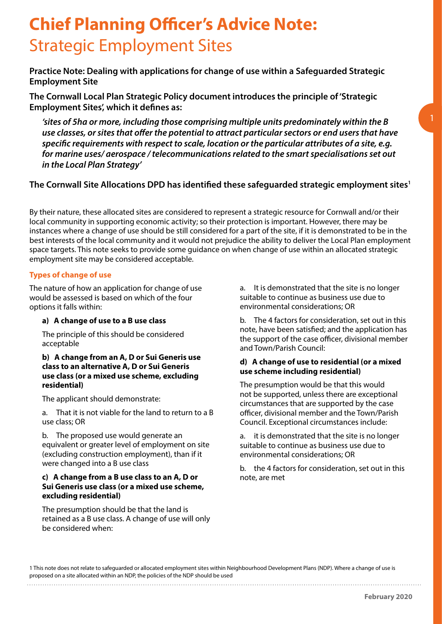# **Chief Planning Officer's Advice Note:** Strategic Employment Sites

**Practice Note: Dealing with applications for change of use within a Safeguarded Strategic Employment Site**

**The Cornwall Local Plan Strategic Policy document introduces the principle of 'Strategic Employment Sites', which it defines as:**

*'sites of 5ha or more, including those comprising multiple units predominately within the B use classes, or sites that offer the potential to attract particular sectors or end users that have specific requirements with respect to scale, location or the particular attributes of a site, e.g. for marine uses/ aerospace / telecommunications related to the smart specialisations set out in the Local Plan Strategy'*

# The Cornwall Site Allocations DPD has identified these safeguarded strategic employment sites<sup>1</sup>

By their nature, these allocated sites are considered to represent a strategic resource for Cornwall and/or their local community in supporting economic activity; so their protection is important. However, there may be instances where a change of use should be still considered for a part of the site, if it is demonstrated to be in the best interests of the local community and it would not prejudice the ability to deliver the Local Plan employment space targets. This note seeks to provide some guidance on when change of use within an allocated strategic employment site may be considered acceptable.

## **Types of change of use**

The nature of how an application for change of use would be assessed is based on which of the four options it falls within:

## **a) A change of use to a B use class**

The principle of this should be considered acceptable

#### **b) A change from an A, D or Sui Generis use class to an alternative A, D or Sui Generis use class (or a mixed use scheme, excluding residential)**

The applicant should demonstrate:

a. That it is not viable for the land to return to a B use class; OR

b. The proposed use would generate an equivalent or greater level of employment on site (excluding construction employment), than if it were changed into a B use class

#### **c) A change from a B use class to an A, D or Sui Generis use class (or a mixed use scheme, excluding residential)**

The presumption should be that the land is retained as a B use class. A change of use will only be considered when:

a. It is demonstrated that the site is no longer suitable to continue as business use due to environmental considerations; OR

b. The 4 factors for consideration, set out in this note, have been satisfied; and the application has the support of the case officer, divisional member and Town/Parish Council:

#### **d) A change of use to residential (or a mixed use scheme including residential)**

The presumption would be that this would not be supported, unless there are exceptional circumstances that are supported by the case officer, divisional member and the Town/Parish Council. Exceptional circumstances include:

a. it is demonstrated that the site is no longer suitable to continue as business use due to environmental considerations; OR

b. the 4 factors for consideration, set out in this note, are met

1 This note does not relate to safeguarded or allocated employment sites within Neighbourhood Development Plans (NDP). Where a change of use is proposed on a site allocated within an NDP, the policies of the NDP should be used